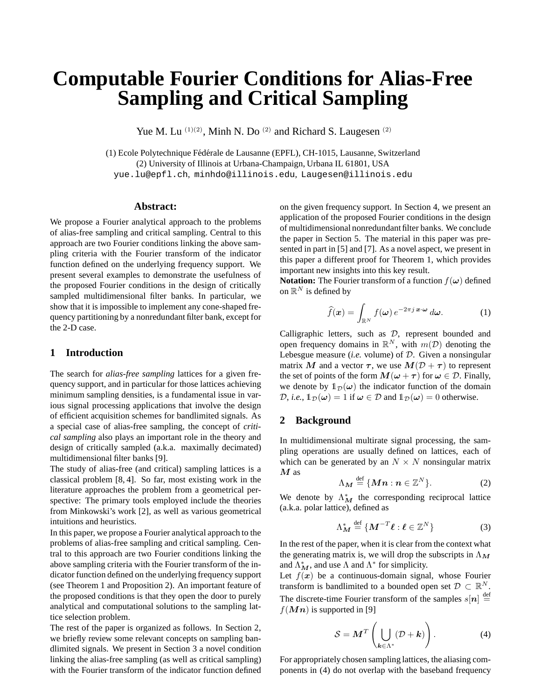# **Computable Fourier Conditions for Alias-Free Sampling and Critical Sampling**

Yue M. Lu  $(1)(2)$ , Minh N. Do  $(2)$  and Richard S. Laugesen  $(2)$ 

(1) Ecole Polytechnique Fédérale de Lausanne (EPFL), CH-1015, Lausanne, Switzerland (2) University of Illinois at Urbana-Champaign, Urbana IL 61801, USA yue.lu@epfl.ch, minhdo@illinois.edu, Laugesen@illinois.edu

#### **Abstract:**

We propose a Fourier analytical approach to the problems of alias-free sampling and critical sampling. Central to this approach are two Fourier conditions linking the above sampling criteria with the Fourier transform of the indicator function defined on the underlying frequency support. We present several examples to demonstrate the usefulness of the proposed Fourier conditions in the design of critically sampled multidimensional filter banks. In particular, we show that it is impossible to implement any cone-shaped frequency partitioning by a nonredundant filter bank, except for the 2-D case.

## **1 Introduction**

The search for *alias-free sampling* lattices for a given frequency support, and in particular for those lattices achieving minimum sampling densities, is a fundamental issue in various signal processing applications that involve the design of efficient acquisition schemes for bandlimited signals. As a special case of alias-free sampling, the concept of *critical sampling* also plays an important role in the theory and design of critically sampled (a.k.a. maximally decimated) multidimensional filter banks [9].

The study of alias-free (and critical) sampling lattices is a classical problem [8, 4]. So far, most existing work in the literature approaches the problem from a geometrical perspective: The primary tools employed include the theories from Minkowski's work [2], as well as various geometrical intuitions and heuristics.

In this paper, we propose a Fourier analytical approach to the problems of alias-free sampling and critical sampling. Central to this approach are two Fourier conditions linking the above sampling criteria with the Fourier transform of the indicator function defined on the underlying frequency support (see Theorem 1 and Proposition 2). An important feature of the proposed conditions is that they open the door to purely analytical and computational solutions to the sampling lattice selection problem.

The rest of the paper is organized as follows. In Section 2, we briefly review some relevant concepts on sampling bandlimited signals. We present in Section 3 a novel condition linking the alias-free sampling (as well as critical sampling) with the Fourier transform of the indicator function defined on the given frequency support. In Section 4, we present an application of the proposed Fourier conditions in the design of multidimensional nonredundant filter banks. We conclude the paper in Section 5. The material in this paper was presented in part in [5] and [7]. As a novel aspect, we present in this paper a different proof for Theorem 1, which provides important new insights into this key result.

**Notation:** The Fourier transform of a function  $f(\omega)$  defined on  $\mathbb{R}^N$  is defined by

$$
\widehat{f}(\boldsymbol{x}) = \int_{\mathbb{R}^N} f(\boldsymbol{\omega}) e^{-2\pi j \, \boldsymbol{x} \cdot \boldsymbol{\omega}} \, d\boldsymbol{\omega}.
$$
 (1)

Calligraphic letters, such as D, represent bounded and open frequency domains in  $\mathbb{R}^N$ , with  $m(\mathcal{D})$  denoting the Lebesgue measure (*i.e.* volume) of D. Given a nonsingular matrix M and a vector  $\tau$ , we use  $M(D + \tau)$  to represent the set of points of the form  $M(\omega + \tau)$  for  $\omega \in \mathcal{D}$ . Finally, we denote by  $\mathbb{1}_{\mathcal{D}}(\omega)$  the indicator function of the domain  $\mathcal{D}$ , *i.e.*,  $\mathbb{1}_{\mathcal{D}}(\omega) = 1$  if  $\omega \in \mathcal{D}$  and  $\mathbb{1}_{\mathcal{D}}(\omega) = 0$  otherwise.

# **2 Background**

In multidimensional multirate signal processing, the sampling operations are usually defined on lattices, each of which can be generated by an  $N \times N$  nonsingular matrix  $M$  as

$$
\Lambda_M \stackrel{\text{def}}{=} \{Mn : n \in \mathbb{Z}^N\}.
$$
 (2)

We denote by  $\Lambda_M^*$  the corresponding reciprocal lattice (a.k.a. polar lattice), defined as

$$
\Lambda_M^* \stackrel{\text{def}}{=} \{ \boldsymbol{M}^{-T} \boldsymbol{\ell} : \boldsymbol{\ell} \in \mathbb{Z}^N \} \tag{3}
$$

In the rest of the paper, when it is clear from the context what the generating matrix is, we will drop the subscripts in  $\Lambda_M$ and  $\Lambda_M^*$ , and use  $\Lambda$  and  $\Lambda^*$  for simplicity.

Let  $f(x)$  be a continuous-domain signal, whose Fourier transform is bandlimited to a bounded open set  $D \subset \mathbb{R}^N$ . The discrete-time Fourier transform of the samples  $s[n] \stackrel{\text{def}}{=}$  $f(\boldsymbol{M}\boldsymbol{n})$  is supported in [9]

$$
S = \boldsymbol{M}^T \left( \bigcup_{\boldsymbol{k} \in \Lambda^*} (\mathcal{D} + \boldsymbol{k}) \right). \tag{4}
$$

For appropriately chosen sampling lattices, the aliasing components in (4) do not overlap with the baseband frequency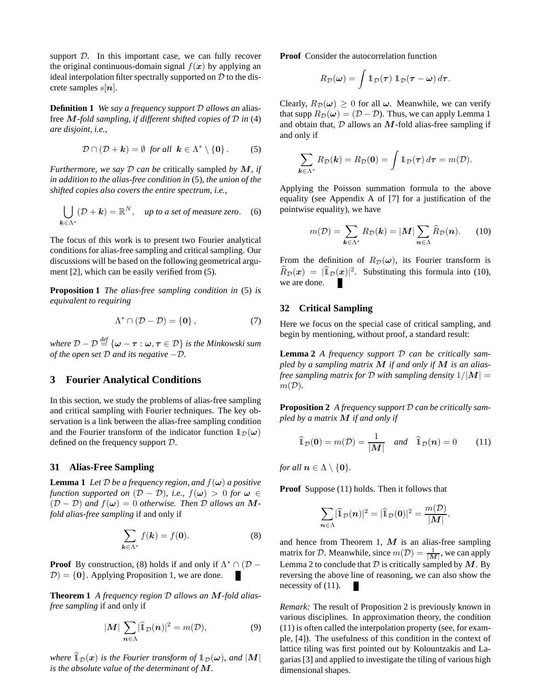support  $D$ . In this important case, we can fully recover the original continuous-domain signal  $f(x)$  by applying an ideal interpolation filter spectrally supported on  $D$  to the discrete samples  $s[n]$ .

**Definition 1** *We say a frequency support* D *allows an* aliasfree M*-fold sampling, if different shifted copies of* D *in* (4) *are disjoint, i.e.,*

$$
\mathcal{D} \cap (\mathcal{D} + \mathbf{k}) = \emptyset \text{ for all } \mathbf{k} \in \Lambda^* \setminus \{\mathbf{0}\}. \tag{5}
$$

*Furthermore, we say* D *can be* critically sampled *by* M*, if in addition to the alias-free condition in* (5)*, the union of the shifted copies also covers the entire spectrum, i.e.,*

$$
\bigcup_{\mathbf{k}\in\Lambda^*}(\mathcal{D}+\mathbf{k})=\mathbb{R}^N,\quad \text{up to a set of measure zero.} \quad (6)
$$

The focus of this work is to present two Fourier analytical conditions for alias-free sampling and critical sampling. Our discussions will be based on the following geometrical argument [2], which can be easily verified from (5).

**Proposition 1** *The alias-free sampling condition in* (5) *is equivalent to requiring*

$$
\Lambda^* \cap (\mathcal{D} - \mathcal{D}) = \{0\},\tag{7}
$$

*where* D − D *def* = {ω − τ : ω, τ ∈ D} *is the Minkowski sum of the open set* D *and its negative* −D*.*

## **3 Fourier Analytical Conditions**

In this section, we study the problems of alias-free sampling and critical sampling with Fourier techniques. The key observation is a link between the alias-free sampling condition and the Fourier transform of the indicator function  $1_{\mathcal{D}}(\omega)$ defined on the frequency support D.

#### **31 Alias-Free Sampling**

**Lemma 1** *Let*  $D$  *be a frequency region, and*  $f(\omega)$  *a positive function supported on*  $(D - D)$ *, i.e.,*  $f(\omega) > 0$  *for*  $\omega \in$  $(D - D)$  *and*  $f(\omega) = 0$  *otherwise. Then* D *allows an* M*fold alias-free sampling* if and only if

$$
\sum_{\mathbf{k}\in\Lambda^*} f(\mathbf{k}) = f(\mathbf{0}).\tag{8}
$$

**Proof** By construction, (8) holds if and only if  $\Lambda^* \cap (\mathcal{D} D = \{0\}$ . Applying Proposition 1, we are done.

**Theorem 1** *A frequency region* D *allows an* M*-fold aliasfree sampling* if and only if

$$
|\mathbf{M}| \sum_{n \in \Lambda} |\widehat{\mathbb{1}}_{\mathcal{D}}(n)|^2 = m(\mathcal{D}), \tag{9}
$$

*where*  $\widehat{1}_D(x)$  *is the Fourier transform of*  $1_D(\omega)$ *, and*  $|M|$ *is the absolute value of the determinant of* M*.*

**Proof** Consider the autocorrelation function

$$
R_{\mathcal{D}}(\boldsymbol{\omega}) = \int \mathbb{1}_{\mathcal{D}}(\boldsymbol{\tau}) \, \mathbb{1}_{\mathcal{D}}(\boldsymbol{\tau} - \boldsymbol{\omega}) \, d\boldsymbol{\tau}.
$$

Clearly,  $R_{\mathcal{D}}(\omega) \geq 0$  for all  $\omega$ . Meanwhile, we can verify that supp  $R_{\mathcal{D}}(\omega) = (\mathcal{D} - \mathcal{D})$ . Thus, we can apply Lemma 1 and obtain that,  $D$  allows an  $M$ -fold alias-free sampling if and only if

$$
\sum_{\boldsymbol{k}\in\Lambda^*}R_{\mathcal{D}}(\boldsymbol{k})=R_{\mathcal{D}}(\boldsymbol{0})=\int\mathbb{1}_{\mathcal{D}}(\boldsymbol{\tau})\,d\boldsymbol{\tau}=m(\mathcal{D}).
$$

Applying the Poisson summation formula to the above equality (see Appendix A of [7] for a justification of the pointwise equality), we have

$$
m(\mathcal{D}) = \sum_{\mathbf{k} \in \Lambda^*} R_{\mathcal{D}}(\mathbf{k}) = |\mathbf{M}| \sum_{\mathbf{n} \in \Lambda} \widehat{R}_{\mathcal{D}}(\mathbf{n}). \tag{10}
$$

From the definition of  $R_{\mathcal{D}}(\omega)$ , its Fourier transform is  $\widehat{R}_{\mathcal{D}}(x) = |\widehat{\mathbb{1}}_{\mathcal{D}}(x)|^2$ . Substituting this formula into (10), we are done.

## **32 Critical Sampling**

Here we focus on the special case of critical sampling, and begin by mentioning, without proof, a standard result:

**Lemma 2** *A frequency support* D *can be critically sampled by a sampling matrix* M *if and only if* M *is an aliasfree sampling matrix for* D *with sampling density*  $1/|M|$  =  $m(\mathcal{D})$ .

**Proposition 2** *A frequency support* D *can be critically sampled by a matrix* M *if and only if*

$$
\widehat{\mathbb{1}}_{\mathcal{D}}(\mathbf{0}) = m(\mathcal{D}) = \frac{1}{|\mathcal{M}|} \quad \text{and} \quad \widehat{\mathbb{1}}_{\mathcal{D}}(\mathbf{n}) = 0 \tag{11}
$$

*for all*  $n \in \Lambda \setminus \{0\}$ *.* 

**Proof** Suppose (11) holds. Then it follows that

$$
\sum_{n\in\Lambda}|\widehat{1}_{\mathcal{D}}(n)|^2=|\widehat{1}_{\mathcal{D}}(0)|^2=\frac{m(\mathcal{D})}{|M|},
$$

and hence from Theorem 1,  $M$  is an alias-free sampling matrix for D. Meanwhile, since  $m(D) = \frac{1}{|M|}$ , we can apply Lemma 2 to conclude that  $D$  is critically sampled by  $M$ . By reversing the above line of reasoning, we can also show the necessity of (11).

*Remark:* The result of Proposition 2 is previously known in various disciplines. In approximation theory, the condition (11) is often called the interpolation property (see, for example, [4]). The usefulness of this condition in the context of lattice tiling was first pointed out by Kolountzakis and Lagarias [3] and applied to investigate the tiling of various high dimensional shapes.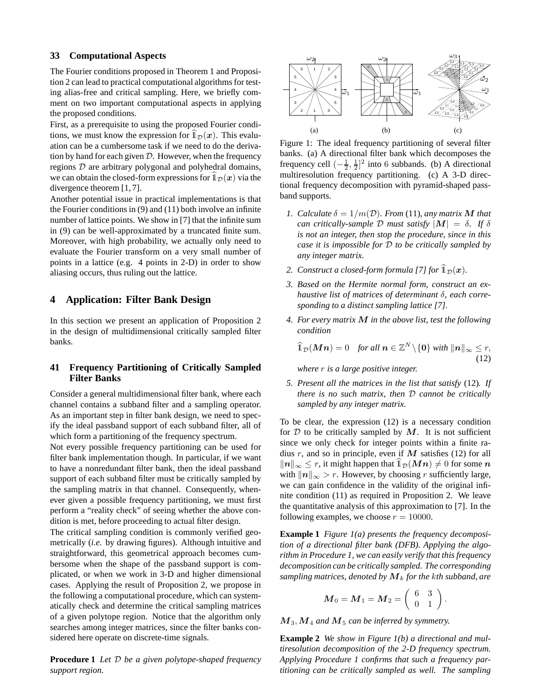#### **33 Computational Aspects**

The Fourier conditions proposed in Theorem 1 and Proposition 2 can lead to practical computational algorithms for testing alias-free and critical sampling. Here, we briefly comment on two important computational aspects in applying the proposed conditions.

First, as a prerequisite to using the proposed Fourier conditions, we must know the expression for  $\widehat{1}_D(x)$ . This evaluation can be a cumbersome task if we need to do the derivation by hand for each given  $D$ . However, when the frequency regions D are arbitrary polygonal and polyhedral domains, we can obtain the closed-form expressions for  $\mathbb{1}_D(x)$  via the divergence theorem [1, 7].

Another potential issue in practical implementations is that the Fourier conditions in (9) and (11) both involve an infinite number of lattice points. We show in [7] that the infinite sum in (9) can be well-approximated by a truncated finite sum. Moreover, with high probability, we actually only need to evaluate the Fourier transform on a very small number of points in a lattice (e.g. 4 points in 2-D) in order to show aliasing occurs, thus ruling out the lattice.

## **4 Application: Filter Bank Design**

In this section we present an application of Proposition 2 in the design of multidimensional critically sampled filter banks.

## **41 Frequency Partitioning of Critically Sampled Filter Banks**

Consider a general multidimensional filter bank, where each channel contains a subband filter and a sampling operator. As an important step in filter bank design, we need to specify the ideal passband support of each subband filter, all of which form a partitioning of the frequency spectrum.

Not every possible frequency partitioning can be used for filter bank implementation though. In particular, if we want to have a nonredundant filter bank, then the ideal passband support of each subband filter must be critically sampled by the sampling matrix in that channel. Consequently, whenever given a possible frequency partitioning, we must first perform a "reality check" of seeing whether the above condition is met, before proceeding to actual filter design.

The critical sampling condition is commonly verified geometrically (*i.e.* by drawing figures). Although intuitive and straightforward, this geometrical approach becomes cumbersome when the shape of the passband support is complicated, or when we work in 3-D and higher dimensional cases. Applying the result of Proposition 2, we propose in the following a computational procedure, which can systematically check and determine the critical sampling matrices of a given polytope region. Notice that the algorithm only searches among integer matrices, since the filter banks considered here operate on discrete-time signals.

**Procedure 1** *Let* D *be a given polytope-shaped frequency support region.*



Figure 1: The ideal frequency partitioning of several filter banks. (a) A directional filter bank which decomposes the frequency cell  $\left(-\frac{1}{2}, \frac{1}{2}\right]^2$  into 6 subbands. (b) A directional multiresolution frequency partitioning. (c) A 3-D directional frequency decomposition with pyramid-shaped passband supports.

- *1. Calculate*  $\delta = 1/m(\mathcal{D})$ *. From* (11)*, any matrix* M *that can critically-sample* D *must satisfy*  $|M| = \delta$ . If  $\delta$ *is not an integer, then stop the procedure, since in this case it is impossible for* D *to be critically sampled by any integer matrix.*
- 2. Construct a closed-form formula [7] for  $\widehat{1}_D(x)$ *.*
- *3. Based on the Hermite normal form, construct an exhaustive list of matrices of determinant* δ*, each corresponding to a distinct sampling lattice [7].*
- *4. For every matrix* M *in the above list, test the following condition*

$$
\widehat{1}_{\mathcal{D}}(\boldsymbol{M}\boldsymbol{n})=0 \quad \text{for all } \boldsymbol{n}\in\mathbb{Z}^N\backslash\{\boldsymbol{0}\}\text{ with }\|\boldsymbol{n}\|_{\infty}\leq r,\tag{12}
$$

*where* r *is a large positive integer.*

*5. Present all the matrices in the list that satisfy* (12)*. If there is no such matrix, then* D *cannot be critically sampled by any integer matrix.*

To be clear, the expression (12) is a necessary condition for  $D$  to be critically sampled by  $M$ . It is not sufficient since we only check for integer points within a finite radius r, and so in principle, even if  $M$  satisfies (12) for all  $||n||_{\infty}$  ≤ r, it might happen that  $\widehat{1}_{\mathcal{D}}(M n) \neq 0$  for some n with  $||n||_{\infty} > r$ . However, by choosing r sufficiently large, we can gain confidence in the validity of the original infinite condition (11) as required in Proposition 2. We leave the quantitative analysis of this approximation to [7]. In the following examples, we choose  $r = 10000$ .

**Example 1** *Figure 1(a) presents the frequency decomposition of a directional filter bank (DFB). Applying the algorithm in Procedure 1, we can easily verify that this frequency decomposition can be critically sampled. The corresponding sampling matrices, denoted by*  $M_k$  *for the kth subband, are* 

$$
\boldsymbol{M}_0 = \boldsymbol{M}_1 = \boldsymbol{M}_2 = \left( \begin{array}{cc} 6 & 3 \\ 0 & 1 \end{array} \right).
$$

 $M_3, M_4$  and  $M_5$  can be inferred by symmetry.

**Example 2** *We show in Figure 1(b) a directional and multiresolution decomposition of the 2-D frequency spectrum. Applying Procedure 1 confirms that such a frequency partitioning can be critically sampled as well. The sampling*